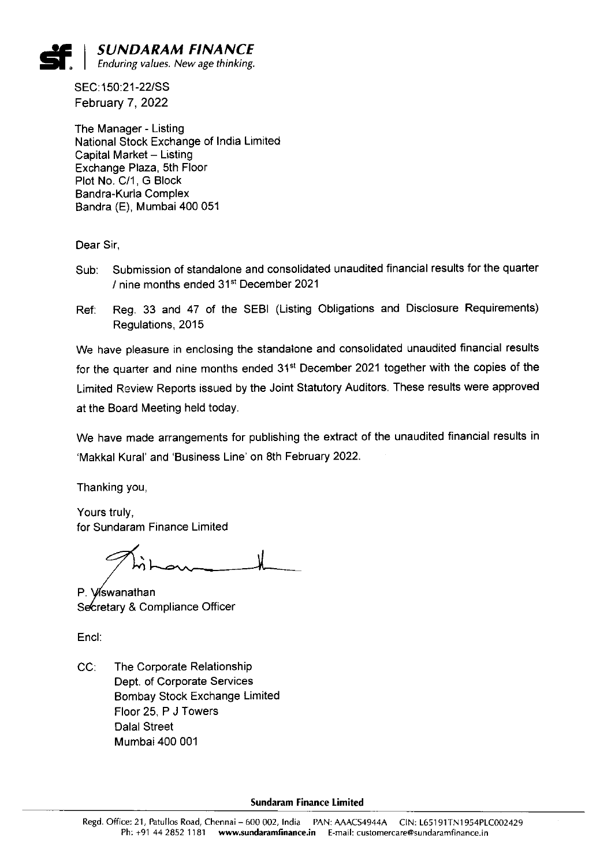

SEC:150:21-22/SS February 7, 2022

The Manager - Listing National Stock Exchange of India Limited Capital Market - Listing Exchange Plaza, 5th Floor Plot No. C/1, G Block Bandra-Kurla Complex Bandra (E), Mumbai 400 051

Dear Sir,

- Sub: Submission of standalone and consolidated unaudited financial results forthe quarter / nine months ended 31st December 2021
- Ref: Reg. 33 and 47 of the SEBl (Listing Obligations and Disclosure Requirements) Regulations, 2015

We have pleasure in enclosing the standalone and consolidated unaudited financial results for the quarter and nine months ended  $31<sup>st</sup>$  December 2021 together with the copies of the Limited Review Reports issued by the Joint Statutory Auditors. These results were approved at the Board Meeting held today.

We have made arrangements for publishing the extract of the unaudited financial results in `Makkal Kural' and `Business Line' on 8th February 2022.

Thanking you,

Yours truly, for Sundaram Finance Limited

P. Viswanathan Secretary & Compliance Officer

Encl:

CC: The Corporate Relationship Dept. of Corporate Services Bombay Stock Exchange Limited Floor 25, P J Towers Dalal Street Mumbai 400 001

Sundaram Finance Limited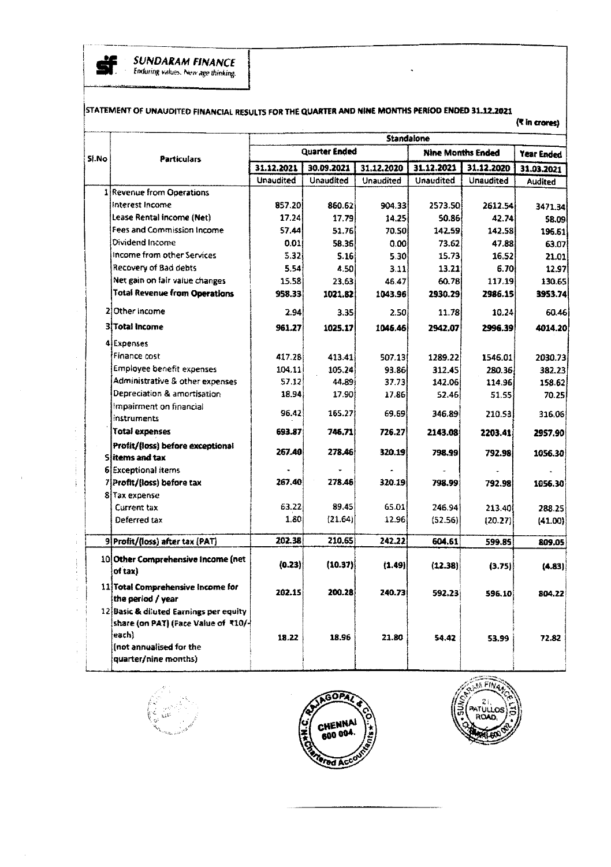

**SUNDARAM FINANCE** Enduring values. New age thinking.

# STATEMENT OF UNAUDITED FINANCIAL RESULTS FOR THE QUARTER AND NINE MONTHS PERIOD ENDED 31.12.2021

| Standalone<br><b>Quarter Ended</b><br><b>Nine Months Ended</b><br>Sl.No<br><b>Particulars</b><br>31.12.2021<br>31.12.2021<br>30.09.2021<br>31.12.2020<br>Unaudited<br>Unaudited<br>Unaudited<br>Unaudited<br>1 Revenue from Operations<br>Interest Income<br>857.20<br>2573.50<br>860.62<br>904.33<br>Lease Rental income (Net)<br>17.24<br>17.79<br>14.25<br>50.86<br>Fees and Commission Income<br>57.44<br>51.76<br>70.SOİ<br>142.59<br>Dividend Income<br>0.01<br>58.36<br>0.00<br>73.62<br>income from other Services<br>5.32<br>5.30<br>15.73<br>5.16 | 31.12.2020<br>Unaudited<br>2612.54<br>42.74 | Year Ended<br>31.03.2021<br>Audited<br>3471.34 |
|-------------------------------------------------------------------------------------------------------------------------------------------------------------------------------------------------------------------------------------------------------------------------------------------------------------------------------------------------------------------------------------------------------------------------------------------------------------------------------------------------------------------------------------------------------------|---------------------------------------------|------------------------------------------------|
|                                                                                                                                                                                                                                                                                                                                                                                                                                                                                                                                                             |                                             |                                                |
|                                                                                                                                                                                                                                                                                                                                                                                                                                                                                                                                                             |                                             |                                                |
|                                                                                                                                                                                                                                                                                                                                                                                                                                                                                                                                                             |                                             |                                                |
|                                                                                                                                                                                                                                                                                                                                                                                                                                                                                                                                                             |                                             |                                                |
|                                                                                                                                                                                                                                                                                                                                                                                                                                                                                                                                                             |                                             |                                                |
|                                                                                                                                                                                                                                                                                                                                                                                                                                                                                                                                                             |                                             |                                                |
|                                                                                                                                                                                                                                                                                                                                                                                                                                                                                                                                                             |                                             | 58.09                                          |
|                                                                                                                                                                                                                                                                                                                                                                                                                                                                                                                                                             | 142.58                                      | 196.61                                         |
|                                                                                                                                                                                                                                                                                                                                                                                                                                                                                                                                                             | 47.88                                       | 63.07                                          |
|                                                                                                                                                                                                                                                                                                                                                                                                                                                                                                                                                             | 16.52                                       | 21.01                                          |
| Recovery of Bad debts<br>5.54<br>4.50<br>13.21<br>3.11                                                                                                                                                                                                                                                                                                                                                                                                                                                                                                      | 6.70                                        | 12.97                                          |
| Net gain on fair value changes<br>15.58<br>60.78<br>23.63<br>46.47                                                                                                                                                                                                                                                                                                                                                                                                                                                                                          | 117.19                                      | 130.65                                         |
| <b>Total Revenue from Operations</b><br>958.33<br>1021.82<br>2930.29<br>1043.96                                                                                                                                                                                                                                                                                                                                                                                                                                                                             | 2986.15                                     | 3953.74                                        |
| 21 Other Income<br>2.94<br>3.35<br>2.50<br>11.78                                                                                                                                                                                                                                                                                                                                                                                                                                                                                                            | 10.24                                       | 60.46                                          |
| 3 Total Income<br>961.27<br>1025.17<br>1046.46<br>2942.07                                                                                                                                                                                                                                                                                                                                                                                                                                                                                                   | 2996.39                                     | 4014.20                                        |
| 4 Expenses                                                                                                                                                                                                                                                                                                                                                                                                                                                                                                                                                  |                                             |                                                |
| Finance cost<br>417.28<br>413.41<br>507.131<br>1289.22                                                                                                                                                                                                                                                                                                                                                                                                                                                                                                      | 1546.01                                     | 2030.73                                        |
| <b>Employee benefit expenses</b><br>104.11<br>105.24<br>93.86<br>312.45                                                                                                                                                                                                                                                                                                                                                                                                                                                                                     | 280.36                                      | 382.23                                         |
| Administrative & other expenses<br>5712<br>44.89<br>37.73<br>142.06                                                                                                                                                                                                                                                                                                                                                                                                                                                                                         | 114.96                                      | 158.62                                         |
| Depreciation & amortisation<br>18.94<br>17.90i<br>17.86<br>52.46                                                                                                                                                                                                                                                                                                                                                                                                                                                                                            | 51.55                                       | 70.25                                          |
| Impairment on financial                                                                                                                                                                                                                                                                                                                                                                                                                                                                                                                                     |                                             |                                                |
| 96.42<br>165.27<br>69.69<br>346.89<br>instruments                                                                                                                                                                                                                                                                                                                                                                                                                                                                                                           | 210.53.                                     | 316.06                                         |
| <b>Total expenses</b><br>693.87<br>746.71<br>726.27<br>2143.08                                                                                                                                                                                                                                                                                                                                                                                                                                                                                              | 2203.41                                     | 2957.90                                        |
| Profit/(loss) before exceptional<br>267.40<br>278.46<br>320.19                                                                                                                                                                                                                                                                                                                                                                                                                                                                                              |                                             |                                                |
| 798.99<br>Slitems and tax                                                                                                                                                                                                                                                                                                                                                                                                                                                                                                                                   | 792.98                                      | 1056.30                                        |
| <b>6</b> Exceptional items                                                                                                                                                                                                                                                                                                                                                                                                                                                                                                                                  |                                             |                                                |
| 267.40<br>278.46<br>7 Profit/(loss) before tax<br>320.19<br>798.99                                                                                                                                                                                                                                                                                                                                                                                                                                                                                          | 792.98                                      | 1056.30                                        |
| 8 Tax expense                                                                                                                                                                                                                                                                                                                                                                                                                                                                                                                                               |                                             |                                                |
| 89.45<br>65.01<br>63.22<br>Current tax<br>246.94                                                                                                                                                                                                                                                                                                                                                                                                                                                                                                            | 213.401                                     | 288.25                                         |
| 1.80<br>(21.64)<br>12.96<br>Deferred tax<br>(52.56)                                                                                                                                                                                                                                                                                                                                                                                                                                                                                                         | (20.27)                                     | (41.00)                                        |
| 202.38<br>210.65<br>242.22<br>9 Profit/(loss) after tax (PAT)<br>604.61                                                                                                                                                                                                                                                                                                                                                                                                                                                                                     | 599.85                                      | 809.05                                         |
| 10 Other Comprehensive Income (net                                                                                                                                                                                                                                                                                                                                                                                                                                                                                                                          |                                             |                                                |
| (0.23)<br>(10.37)<br>(1.49)<br>(12.38)<br>of tax)                                                                                                                                                                                                                                                                                                                                                                                                                                                                                                           | (3.75)                                      | (4.83)                                         |
| 11 Total Comprehensive Income for<br>202.15<br>200.28<br>240.73<br>592.23                                                                                                                                                                                                                                                                                                                                                                                                                                                                                   | 596.10                                      | 804.22                                         |
| the period / year                                                                                                                                                                                                                                                                                                                                                                                                                                                                                                                                           |                                             |                                                |
| 12 Basic & diluted Earnings per equity                                                                                                                                                                                                                                                                                                                                                                                                                                                                                                                      |                                             |                                                |
| share (on PAT) (Face Value of ₹10/-<br>each)                                                                                                                                                                                                                                                                                                                                                                                                                                                                                                                |                                             |                                                |
| 18.96<br>18.22<br>21.80<br>54.42<br>(not annualised for the                                                                                                                                                                                                                                                                                                                                                                                                                                                                                                 | 53.99                                       | 72.82                                          |
| quarter/nine months)                                                                                                                                                                                                                                                                                                                                                                                                                                                                                                                                        |                                             |                                                |





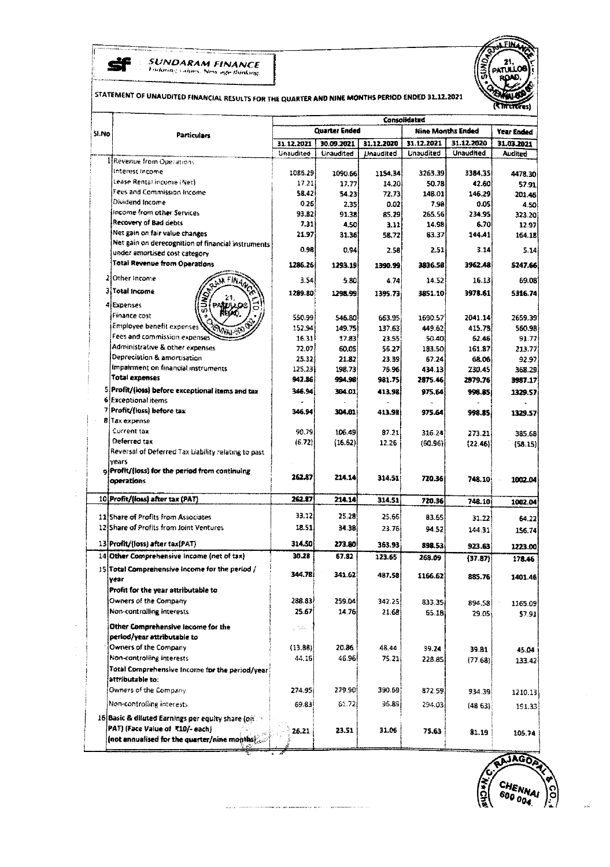

**SUNDARAM FINANCE**<br>Fadoring saloes. New age thinking.



# STATEMENT OF UNAUDITED FINANCIAL RESULTS FOR THE QUARTER AND NINE MONTHS PERIOD ENDED 31.12.2021

| <b>Quarter Ended</b><br><b>Nine Months Ended</b><br>Year Ended<br>si.No<br><b>Particulars</b><br>31.12.2021<br>31.12.2020<br>31.12.2021<br>30.09.2021<br>31.12.2020<br>31.03.2021<br>Unaudited<br>Unaudited<br>Unaudited<br><b>Unaudited</b><br>Unaudited<br>Audited<br><b>I</b> Revenue from Operations<br>Interest Income<br>1085.29<br>1090 56<br>1154.34<br>3263.39<br>3384.35<br>4478.30<br>Lease Rental income (Net)<br>17.21<br>14.20<br>50.78<br>17.77<br>42.60<br>57.91.<br>Fees and Commission Income<br>58.42<br>72.73<br>148.01<br>146.29<br>54.23<br>201.46<br>Dividend Income<br>0.26<br>0.02<br>7.98<br>2.35<br>0.05<br>4.50<br>Income from other Services<br>93.82<br>91.38<br>85.29<br>265.56<br>234.95<br>323.20<br>Recovery of Bad debts<br>7.31<br>4.50<br>14.98<br>6.70<br>3.11<br>12.97<br>Net gain on fair value changes<br>21.97<br>83.37<br>144.41<br>31.36<br>58.72<br>164.18<br>Net gain on derecognition of financial instruments<br>0.98<br>0.94<br>2.51<br>3.14<br>2.58<br>under amortised cost category<br>Total Revenue from Operations<br>1286.26<br>1293.19<br>3962.48<br>1390.99<br>3836.58<br>210ther Income<br>3.54<br>5.30<br>14.52<br>16.13<br>4.74<br>3 Total Income<br>3978.61<br>1289.80<br>1298.99<br>3851.10<br>1395.73<br>4 Expenses<br>ū.<br>Finance cost<br>550.99<br>546.80<br>1690.57<br>2041.14<br>2659.39<br>663.95<br>Employee benefit expenses<br>415.78<br>152.94<br>149.75<br>137.63<br>449.62<br>560.98<br>Fees and commission expenses<br>16.31<br>62.46<br>17.83<br>23.55<br>50.40<br>Administrative & other expenses<br>72.07<br>60.05<br>56.27<br>161.87<br>183.50<br>Depreciation & amortisation<br>25.32<br>21.82<br>23.39<br>67.24<br>68.06<br>Impairment on financial instruments<br>125,23<br>198.73<br>76.96<br>434.13<br>230.45<br>Total expenses<br>942.86<br>994.98<br>981.75<br>2875.46<br>2979.76<br>5 Profit/(loss) before exceptional items and tax<br>346.94<br>304.01<br>413.98<br>975.64<br>998.85<br>6 Exceptional items<br>7 Profit/(loss) before tax<br>346.94<br>304.01<br>413.98<br>975.64<br>998.85<br>1329.57<br>8<br>Tax expense<br>Current tax<br>90.79<br>106.49<br>87.21<br>316.24<br>273.21<br>385.68<br>Deferred tax<br>(6.72)<br>(16.62)<br>12.26<br>(60.96)<br>(22.46)<br>Reversal of Deferred Tax Liability relating to past<br>vears<br>9 Profit/(loss) for the period from continuing<br>262.87<br>214.14<br>314.51<br>720.36<br>748.10<br>1002.04<br>operations<br>10 Profit/(loss) after tax (PAT)<br>262.87<br>214.14<br>314.51<br>720.36<br>748.10<br>1002.04<br>33.12<br>25.28<br>11 Share of Profits from Associates<br>25.66<br>83.65<br>31.22<br>64.22<br>12 Share of Profits from Joint Ventures<br>18.51<br>34.38<br>23.76<br>94.52<br>144.31<br>156.74<br>13 Profit/(loss) after tax(PAT)<br>314.50<br>273.80<br>363.93<br>898.53<br>923.63<br>1223.00<br>14 Other Comprehensive Income (net of tax)<br>30.28<br>67.82<br>123.65<br>268.09<br>(37.87)<br>178.46<br>15 Total Comprehensive Income for the period /<br>344.78<br>341.62<br>487.58<br>1166.62<br>885.76<br>1401.46<br>year<br>Profit for the year attributable to<br>Owners of the Company<br>288.83<br>259.04<br>342.25<br>835.35<br>894.58<br>Non-controlling interests<br>25.67<br>14.76<br>21.68<br>65.18<br>29.05<br>Other Comprehensive Income for the<br>u 1945.<br>period/year attributable to<br>Owners of the Company<br>20.86<br>(13.86)<br>48.44<br>39.24<br>39.81<br>45.04<br>Non-controlling interests<br>46.96<br>44.16<br>75.21<br>228.85<br>(77.68)<br>Total Comprehensive Income for the period/year<br>attributable to:<br>Owners of the Company<br>274.95<br>279.90<br>390.69<br>872.59<br>934.39<br>96.89j<br>Non-controlling interests<br>69.83<br>62, 72<br>294.03<br>(4863)<br>191.33<br>16 Basic & diluted Earnings per equity share (on 18<br>PAT) (Face Value of ₹10/- each)<br>23.51<br>31.06<br>26.21<br>75.63<br>81.19<br>105.74<br>(not annualised for the quarter/nine months $\epsilon_{\rm{co}}$ |  | Consolidated |  |  |  |  |         |
|----------------------------------------------------------------------------------------------------------------------------------------------------------------------------------------------------------------------------------------------------------------------------------------------------------------------------------------------------------------------------------------------------------------------------------------------------------------------------------------------------------------------------------------------------------------------------------------------------------------------------------------------------------------------------------------------------------------------------------------------------------------------------------------------------------------------------------------------------------------------------------------------------------------------------------------------------------------------------------------------------------------------------------------------------------------------------------------------------------------------------------------------------------------------------------------------------------------------------------------------------------------------------------------------------------------------------------------------------------------------------------------------------------------------------------------------------------------------------------------------------------------------------------------------------------------------------------------------------------------------------------------------------------------------------------------------------------------------------------------------------------------------------------------------------------------------------------------------------------------------------------------------------------------------------------------------------------------------------------------------------------------------------------------------------------------------------------------------------------------------------------------------------------------------------------------------------------------------------------------------------------------------------------------------------------------------------------------------------------------------------------------------------------------------------------------------------------------------------------------------------------------------------------------------------------------------------------------------------------------------------------------------------------------------------------------------------------------------------------------------------------------------------------------------------------------------------------------------------------------------------------------------------------------------------------------------------------------------------------------------------------------------------------------------------------------------------------------------------------------------------------------------------------------------------------------------------------------------------------------------------------------------------------------------------------------------------------------------------------------------------------------------------------------------------------------------------------------------------------------------------------------------------------------------------------------------------------------------------------------------------------------------------------------------------------------------------------------------------------------------------------------------------------------------------------------------------------------------------------------------------------------------------------------------------------------------------------------------------------------------------------|--|--------------|--|--|--|--|---------|
|                                                                                                                                                                                                                                                                                                                                                                                                                                                                                                                                                                                                                                                                                                                                                                                                                                                                                                                                                                                                                                                                                                                                                                                                                                                                                                                                                                                                                                                                                                                                                                                                                                                                                                                                                                                                                                                                                                                                                                                                                                                                                                                                                                                                                                                                                                                                                                                                                                                                                                                                                                                                                                                                                                                                                                                                                                                                                                                                                                                                                                                                                                                                                                                                                                                                                                                                                                                                                                                                                                                                                                                                                                                                                                                                                                                                                                                                                                                                                                                                          |  |              |  |  |  |  |         |
|                                                                                                                                                                                                                                                                                                                                                                                                                                                                                                                                                                                                                                                                                                                                                                                                                                                                                                                                                                                                                                                                                                                                                                                                                                                                                                                                                                                                                                                                                                                                                                                                                                                                                                                                                                                                                                                                                                                                                                                                                                                                                                                                                                                                                                                                                                                                                                                                                                                                                                                                                                                                                                                                                                                                                                                                                                                                                                                                                                                                                                                                                                                                                                                                                                                                                                                                                                                                                                                                                                                                                                                                                                                                                                                                                                                                                                                                                                                                                                                                          |  |              |  |  |  |  |         |
|                                                                                                                                                                                                                                                                                                                                                                                                                                                                                                                                                                                                                                                                                                                                                                                                                                                                                                                                                                                                                                                                                                                                                                                                                                                                                                                                                                                                                                                                                                                                                                                                                                                                                                                                                                                                                                                                                                                                                                                                                                                                                                                                                                                                                                                                                                                                                                                                                                                                                                                                                                                                                                                                                                                                                                                                                                                                                                                                                                                                                                                                                                                                                                                                                                                                                                                                                                                                                                                                                                                                                                                                                                                                                                                                                                                                                                                                                                                                                                                                          |  |              |  |  |  |  |         |
|                                                                                                                                                                                                                                                                                                                                                                                                                                                                                                                                                                                                                                                                                                                                                                                                                                                                                                                                                                                                                                                                                                                                                                                                                                                                                                                                                                                                                                                                                                                                                                                                                                                                                                                                                                                                                                                                                                                                                                                                                                                                                                                                                                                                                                                                                                                                                                                                                                                                                                                                                                                                                                                                                                                                                                                                                                                                                                                                                                                                                                                                                                                                                                                                                                                                                                                                                                                                                                                                                                                                                                                                                                                                                                                                                                                                                                                                                                                                                                                                          |  |              |  |  |  |  |         |
|                                                                                                                                                                                                                                                                                                                                                                                                                                                                                                                                                                                                                                                                                                                                                                                                                                                                                                                                                                                                                                                                                                                                                                                                                                                                                                                                                                                                                                                                                                                                                                                                                                                                                                                                                                                                                                                                                                                                                                                                                                                                                                                                                                                                                                                                                                                                                                                                                                                                                                                                                                                                                                                                                                                                                                                                                                                                                                                                                                                                                                                                                                                                                                                                                                                                                                                                                                                                                                                                                                                                                                                                                                                                                                                                                                                                                                                                                                                                                                                                          |  |              |  |  |  |  |         |
|                                                                                                                                                                                                                                                                                                                                                                                                                                                                                                                                                                                                                                                                                                                                                                                                                                                                                                                                                                                                                                                                                                                                                                                                                                                                                                                                                                                                                                                                                                                                                                                                                                                                                                                                                                                                                                                                                                                                                                                                                                                                                                                                                                                                                                                                                                                                                                                                                                                                                                                                                                                                                                                                                                                                                                                                                                                                                                                                                                                                                                                                                                                                                                                                                                                                                                                                                                                                                                                                                                                                                                                                                                                                                                                                                                                                                                                                                                                                                                                                          |  |              |  |  |  |  |         |
|                                                                                                                                                                                                                                                                                                                                                                                                                                                                                                                                                                                                                                                                                                                                                                                                                                                                                                                                                                                                                                                                                                                                                                                                                                                                                                                                                                                                                                                                                                                                                                                                                                                                                                                                                                                                                                                                                                                                                                                                                                                                                                                                                                                                                                                                                                                                                                                                                                                                                                                                                                                                                                                                                                                                                                                                                                                                                                                                                                                                                                                                                                                                                                                                                                                                                                                                                                                                                                                                                                                                                                                                                                                                                                                                                                                                                                                                                                                                                                                                          |  |              |  |  |  |  |         |
|                                                                                                                                                                                                                                                                                                                                                                                                                                                                                                                                                                                                                                                                                                                                                                                                                                                                                                                                                                                                                                                                                                                                                                                                                                                                                                                                                                                                                                                                                                                                                                                                                                                                                                                                                                                                                                                                                                                                                                                                                                                                                                                                                                                                                                                                                                                                                                                                                                                                                                                                                                                                                                                                                                                                                                                                                                                                                                                                                                                                                                                                                                                                                                                                                                                                                                                                                                                                                                                                                                                                                                                                                                                                                                                                                                                                                                                                                                                                                                                                          |  |              |  |  |  |  |         |
|                                                                                                                                                                                                                                                                                                                                                                                                                                                                                                                                                                                                                                                                                                                                                                                                                                                                                                                                                                                                                                                                                                                                                                                                                                                                                                                                                                                                                                                                                                                                                                                                                                                                                                                                                                                                                                                                                                                                                                                                                                                                                                                                                                                                                                                                                                                                                                                                                                                                                                                                                                                                                                                                                                                                                                                                                                                                                                                                                                                                                                                                                                                                                                                                                                                                                                                                                                                                                                                                                                                                                                                                                                                                                                                                                                                                                                                                                                                                                                                                          |  |              |  |  |  |  |         |
|                                                                                                                                                                                                                                                                                                                                                                                                                                                                                                                                                                                                                                                                                                                                                                                                                                                                                                                                                                                                                                                                                                                                                                                                                                                                                                                                                                                                                                                                                                                                                                                                                                                                                                                                                                                                                                                                                                                                                                                                                                                                                                                                                                                                                                                                                                                                                                                                                                                                                                                                                                                                                                                                                                                                                                                                                                                                                                                                                                                                                                                                                                                                                                                                                                                                                                                                                                                                                                                                                                                                                                                                                                                                                                                                                                                                                                                                                                                                                                                                          |  |              |  |  |  |  |         |
|                                                                                                                                                                                                                                                                                                                                                                                                                                                                                                                                                                                                                                                                                                                                                                                                                                                                                                                                                                                                                                                                                                                                                                                                                                                                                                                                                                                                                                                                                                                                                                                                                                                                                                                                                                                                                                                                                                                                                                                                                                                                                                                                                                                                                                                                                                                                                                                                                                                                                                                                                                                                                                                                                                                                                                                                                                                                                                                                                                                                                                                                                                                                                                                                                                                                                                                                                                                                                                                                                                                                                                                                                                                                                                                                                                                                                                                                                                                                                                                                          |  |              |  |  |  |  |         |
|                                                                                                                                                                                                                                                                                                                                                                                                                                                                                                                                                                                                                                                                                                                                                                                                                                                                                                                                                                                                                                                                                                                                                                                                                                                                                                                                                                                                                                                                                                                                                                                                                                                                                                                                                                                                                                                                                                                                                                                                                                                                                                                                                                                                                                                                                                                                                                                                                                                                                                                                                                                                                                                                                                                                                                                                                                                                                                                                                                                                                                                                                                                                                                                                                                                                                                                                                                                                                                                                                                                                                                                                                                                                                                                                                                                                                                                                                                                                                                                                          |  |              |  |  |  |  | 5.14    |
|                                                                                                                                                                                                                                                                                                                                                                                                                                                                                                                                                                                                                                                                                                                                                                                                                                                                                                                                                                                                                                                                                                                                                                                                                                                                                                                                                                                                                                                                                                                                                                                                                                                                                                                                                                                                                                                                                                                                                                                                                                                                                                                                                                                                                                                                                                                                                                                                                                                                                                                                                                                                                                                                                                                                                                                                                                                                                                                                                                                                                                                                                                                                                                                                                                                                                                                                                                                                                                                                                                                                                                                                                                                                                                                                                                                                                                                                                                                                                                                                          |  |              |  |  |  |  | 5247.66 |
|                                                                                                                                                                                                                                                                                                                                                                                                                                                                                                                                                                                                                                                                                                                                                                                                                                                                                                                                                                                                                                                                                                                                                                                                                                                                                                                                                                                                                                                                                                                                                                                                                                                                                                                                                                                                                                                                                                                                                                                                                                                                                                                                                                                                                                                                                                                                                                                                                                                                                                                                                                                                                                                                                                                                                                                                                                                                                                                                                                                                                                                                                                                                                                                                                                                                                                                                                                                                                                                                                                                                                                                                                                                                                                                                                                                                                                                                                                                                                                                                          |  |              |  |  |  |  | 69.08   |
|                                                                                                                                                                                                                                                                                                                                                                                                                                                                                                                                                                                                                                                                                                                                                                                                                                                                                                                                                                                                                                                                                                                                                                                                                                                                                                                                                                                                                                                                                                                                                                                                                                                                                                                                                                                                                                                                                                                                                                                                                                                                                                                                                                                                                                                                                                                                                                                                                                                                                                                                                                                                                                                                                                                                                                                                                                                                                                                                                                                                                                                                                                                                                                                                                                                                                                                                                                                                                                                                                                                                                                                                                                                                                                                                                                                                                                                                                                                                                                                                          |  |              |  |  |  |  | 5316.74 |
|                                                                                                                                                                                                                                                                                                                                                                                                                                                                                                                                                                                                                                                                                                                                                                                                                                                                                                                                                                                                                                                                                                                                                                                                                                                                                                                                                                                                                                                                                                                                                                                                                                                                                                                                                                                                                                                                                                                                                                                                                                                                                                                                                                                                                                                                                                                                                                                                                                                                                                                                                                                                                                                                                                                                                                                                                                                                                                                                                                                                                                                                                                                                                                                                                                                                                                                                                                                                                                                                                                                                                                                                                                                                                                                                                                                                                                                                                                                                                                                                          |  |              |  |  |  |  |         |
|                                                                                                                                                                                                                                                                                                                                                                                                                                                                                                                                                                                                                                                                                                                                                                                                                                                                                                                                                                                                                                                                                                                                                                                                                                                                                                                                                                                                                                                                                                                                                                                                                                                                                                                                                                                                                                                                                                                                                                                                                                                                                                                                                                                                                                                                                                                                                                                                                                                                                                                                                                                                                                                                                                                                                                                                                                                                                                                                                                                                                                                                                                                                                                                                                                                                                                                                                                                                                                                                                                                                                                                                                                                                                                                                                                                                                                                                                                                                                                                                          |  |              |  |  |  |  |         |
|                                                                                                                                                                                                                                                                                                                                                                                                                                                                                                                                                                                                                                                                                                                                                                                                                                                                                                                                                                                                                                                                                                                                                                                                                                                                                                                                                                                                                                                                                                                                                                                                                                                                                                                                                                                                                                                                                                                                                                                                                                                                                                                                                                                                                                                                                                                                                                                                                                                                                                                                                                                                                                                                                                                                                                                                                                                                                                                                                                                                                                                                                                                                                                                                                                                                                                                                                                                                                                                                                                                                                                                                                                                                                                                                                                                                                                                                                                                                                                                                          |  |              |  |  |  |  |         |
|                                                                                                                                                                                                                                                                                                                                                                                                                                                                                                                                                                                                                                                                                                                                                                                                                                                                                                                                                                                                                                                                                                                                                                                                                                                                                                                                                                                                                                                                                                                                                                                                                                                                                                                                                                                                                                                                                                                                                                                                                                                                                                                                                                                                                                                                                                                                                                                                                                                                                                                                                                                                                                                                                                                                                                                                                                                                                                                                                                                                                                                                                                                                                                                                                                                                                                                                                                                                                                                                                                                                                                                                                                                                                                                                                                                                                                                                                                                                                                                                          |  |              |  |  |  |  | 91.77   |
|                                                                                                                                                                                                                                                                                                                                                                                                                                                                                                                                                                                                                                                                                                                                                                                                                                                                                                                                                                                                                                                                                                                                                                                                                                                                                                                                                                                                                                                                                                                                                                                                                                                                                                                                                                                                                                                                                                                                                                                                                                                                                                                                                                                                                                                                                                                                                                                                                                                                                                                                                                                                                                                                                                                                                                                                                                                                                                                                                                                                                                                                                                                                                                                                                                                                                                                                                                                                                                                                                                                                                                                                                                                                                                                                                                                                                                                                                                                                                                                                          |  |              |  |  |  |  | 213.77  |
|                                                                                                                                                                                                                                                                                                                                                                                                                                                                                                                                                                                                                                                                                                                                                                                                                                                                                                                                                                                                                                                                                                                                                                                                                                                                                                                                                                                                                                                                                                                                                                                                                                                                                                                                                                                                                                                                                                                                                                                                                                                                                                                                                                                                                                                                                                                                                                                                                                                                                                                                                                                                                                                                                                                                                                                                                                                                                                                                                                                                                                                                                                                                                                                                                                                                                                                                                                                                                                                                                                                                                                                                                                                                                                                                                                                                                                                                                                                                                                                                          |  |              |  |  |  |  | 92.97   |
|                                                                                                                                                                                                                                                                                                                                                                                                                                                                                                                                                                                                                                                                                                                                                                                                                                                                                                                                                                                                                                                                                                                                                                                                                                                                                                                                                                                                                                                                                                                                                                                                                                                                                                                                                                                                                                                                                                                                                                                                                                                                                                                                                                                                                                                                                                                                                                                                                                                                                                                                                                                                                                                                                                                                                                                                                                                                                                                                                                                                                                                                                                                                                                                                                                                                                                                                                                                                                                                                                                                                                                                                                                                                                                                                                                                                                                                                                                                                                                                                          |  |              |  |  |  |  | 358.29  |
|                                                                                                                                                                                                                                                                                                                                                                                                                                                                                                                                                                                                                                                                                                                                                                                                                                                                                                                                                                                                                                                                                                                                                                                                                                                                                                                                                                                                                                                                                                                                                                                                                                                                                                                                                                                                                                                                                                                                                                                                                                                                                                                                                                                                                                                                                                                                                                                                                                                                                                                                                                                                                                                                                                                                                                                                                                                                                                                                                                                                                                                                                                                                                                                                                                                                                                                                                                                                                                                                                                                                                                                                                                                                                                                                                                                                                                                                                                                                                                                                          |  |              |  |  |  |  | 3987.17 |
|                                                                                                                                                                                                                                                                                                                                                                                                                                                                                                                                                                                                                                                                                                                                                                                                                                                                                                                                                                                                                                                                                                                                                                                                                                                                                                                                                                                                                                                                                                                                                                                                                                                                                                                                                                                                                                                                                                                                                                                                                                                                                                                                                                                                                                                                                                                                                                                                                                                                                                                                                                                                                                                                                                                                                                                                                                                                                                                                                                                                                                                                                                                                                                                                                                                                                                                                                                                                                                                                                                                                                                                                                                                                                                                                                                                                                                                                                                                                                                                                          |  |              |  |  |  |  | 1329.57 |
|                                                                                                                                                                                                                                                                                                                                                                                                                                                                                                                                                                                                                                                                                                                                                                                                                                                                                                                                                                                                                                                                                                                                                                                                                                                                                                                                                                                                                                                                                                                                                                                                                                                                                                                                                                                                                                                                                                                                                                                                                                                                                                                                                                                                                                                                                                                                                                                                                                                                                                                                                                                                                                                                                                                                                                                                                                                                                                                                                                                                                                                                                                                                                                                                                                                                                                                                                                                                                                                                                                                                                                                                                                                                                                                                                                                                                                                                                                                                                                                                          |  |              |  |  |  |  |         |
|                                                                                                                                                                                                                                                                                                                                                                                                                                                                                                                                                                                                                                                                                                                                                                                                                                                                                                                                                                                                                                                                                                                                                                                                                                                                                                                                                                                                                                                                                                                                                                                                                                                                                                                                                                                                                                                                                                                                                                                                                                                                                                                                                                                                                                                                                                                                                                                                                                                                                                                                                                                                                                                                                                                                                                                                                                                                                                                                                                                                                                                                                                                                                                                                                                                                                                                                                                                                                                                                                                                                                                                                                                                                                                                                                                                                                                                                                                                                                                                                          |  |              |  |  |  |  |         |
|                                                                                                                                                                                                                                                                                                                                                                                                                                                                                                                                                                                                                                                                                                                                                                                                                                                                                                                                                                                                                                                                                                                                                                                                                                                                                                                                                                                                                                                                                                                                                                                                                                                                                                                                                                                                                                                                                                                                                                                                                                                                                                                                                                                                                                                                                                                                                                                                                                                                                                                                                                                                                                                                                                                                                                                                                                                                                                                                                                                                                                                                                                                                                                                                                                                                                                                                                                                                                                                                                                                                                                                                                                                                                                                                                                                                                                                                                                                                                                                                          |  |              |  |  |  |  |         |
|                                                                                                                                                                                                                                                                                                                                                                                                                                                                                                                                                                                                                                                                                                                                                                                                                                                                                                                                                                                                                                                                                                                                                                                                                                                                                                                                                                                                                                                                                                                                                                                                                                                                                                                                                                                                                                                                                                                                                                                                                                                                                                                                                                                                                                                                                                                                                                                                                                                                                                                                                                                                                                                                                                                                                                                                                                                                                                                                                                                                                                                                                                                                                                                                                                                                                                                                                                                                                                                                                                                                                                                                                                                                                                                                                                                                                                                                                                                                                                                                          |  |              |  |  |  |  |         |
|                                                                                                                                                                                                                                                                                                                                                                                                                                                                                                                                                                                                                                                                                                                                                                                                                                                                                                                                                                                                                                                                                                                                                                                                                                                                                                                                                                                                                                                                                                                                                                                                                                                                                                                                                                                                                                                                                                                                                                                                                                                                                                                                                                                                                                                                                                                                                                                                                                                                                                                                                                                                                                                                                                                                                                                                                                                                                                                                                                                                                                                                                                                                                                                                                                                                                                                                                                                                                                                                                                                                                                                                                                                                                                                                                                                                                                                                                                                                                                                                          |  |              |  |  |  |  | (58.15) |
|                                                                                                                                                                                                                                                                                                                                                                                                                                                                                                                                                                                                                                                                                                                                                                                                                                                                                                                                                                                                                                                                                                                                                                                                                                                                                                                                                                                                                                                                                                                                                                                                                                                                                                                                                                                                                                                                                                                                                                                                                                                                                                                                                                                                                                                                                                                                                                                                                                                                                                                                                                                                                                                                                                                                                                                                                                                                                                                                                                                                                                                                                                                                                                                                                                                                                                                                                                                                                                                                                                                                                                                                                                                                                                                                                                                                                                                                                                                                                                                                          |  |              |  |  |  |  |         |
|                                                                                                                                                                                                                                                                                                                                                                                                                                                                                                                                                                                                                                                                                                                                                                                                                                                                                                                                                                                                                                                                                                                                                                                                                                                                                                                                                                                                                                                                                                                                                                                                                                                                                                                                                                                                                                                                                                                                                                                                                                                                                                                                                                                                                                                                                                                                                                                                                                                                                                                                                                                                                                                                                                                                                                                                                                                                                                                                                                                                                                                                                                                                                                                                                                                                                                                                                                                                                                                                                                                                                                                                                                                                                                                                                                                                                                                                                                                                                                                                          |  |              |  |  |  |  |         |
|                                                                                                                                                                                                                                                                                                                                                                                                                                                                                                                                                                                                                                                                                                                                                                                                                                                                                                                                                                                                                                                                                                                                                                                                                                                                                                                                                                                                                                                                                                                                                                                                                                                                                                                                                                                                                                                                                                                                                                                                                                                                                                                                                                                                                                                                                                                                                                                                                                                                                                                                                                                                                                                                                                                                                                                                                                                                                                                                                                                                                                                                                                                                                                                                                                                                                                                                                                                                                                                                                                                                                                                                                                                                                                                                                                                                                                                                                                                                                                                                          |  |              |  |  |  |  |         |
|                                                                                                                                                                                                                                                                                                                                                                                                                                                                                                                                                                                                                                                                                                                                                                                                                                                                                                                                                                                                                                                                                                                                                                                                                                                                                                                                                                                                                                                                                                                                                                                                                                                                                                                                                                                                                                                                                                                                                                                                                                                                                                                                                                                                                                                                                                                                                                                                                                                                                                                                                                                                                                                                                                                                                                                                                                                                                                                                                                                                                                                                                                                                                                                                                                                                                                                                                                                                                                                                                                                                                                                                                                                                                                                                                                                                                                                                                                                                                                                                          |  |              |  |  |  |  |         |
|                                                                                                                                                                                                                                                                                                                                                                                                                                                                                                                                                                                                                                                                                                                                                                                                                                                                                                                                                                                                                                                                                                                                                                                                                                                                                                                                                                                                                                                                                                                                                                                                                                                                                                                                                                                                                                                                                                                                                                                                                                                                                                                                                                                                                                                                                                                                                                                                                                                                                                                                                                                                                                                                                                                                                                                                                                                                                                                                                                                                                                                                                                                                                                                                                                                                                                                                                                                                                                                                                                                                                                                                                                                                                                                                                                                                                                                                                                                                                                                                          |  |              |  |  |  |  |         |
|                                                                                                                                                                                                                                                                                                                                                                                                                                                                                                                                                                                                                                                                                                                                                                                                                                                                                                                                                                                                                                                                                                                                                                                                                                                                                                                                                                                                                                                                                                                                                                                                                                                                                                                                                                                                                                                                                                                                                                                                                                                                                                                                                                                                                                                                                                                                                                                                                                                                                                                                                                                                                                                                                                                                                                                                                                                                                                                                                                                                                                                                                                                                                                                                                                                                                                                                                                                                                                                                                                                                                                                                                                                                                                                                                                                                                                                                                                                                                                                                          |  |              |  |  |  |  |         |
|                                                                                                                                                                                                                                                                                                                                                                                                                                                                                                                                                                                                                                                                                                                                                                                                                                                                                                                                                                                                                                                                                                                                                                                                                                                                                                                                                                                                                                                                                                                                                                                                                                                                                                                                                                                                                                                                                                                                                                                                                                                                                                                                                                                                                                                                                                                                                                                                                                                                                                                                                                                                                                                                                                                                                                                                                                                                                                                                                                                                                                                                                                                                                                                                                                                                                                                                                                                                                                                                                                                                                                                                                                                                                                                                                                                                                                                                                                                                                                                                          |  |              |  |  |  |  |         |
|                                                                                                                                                                                                                                                                                                                                                                                                                                                                                                                                                                                                                                                                                                                                                                                                                                                                                                                                                                                                                                                                                                                                                                                                                                                                                                                                                                                                                                                                                                                                                                                                                                                                                                                                                                                                                                                                                                                                                                                                                                                                                                                                                                                                                                                                                                                                                                                                                                                                                                                                                                                                                                                                                                                                                                                                                                                                                                                                                                                                                                                                                                                                                                                                                                                                                                                                                                                                                                                                                                                                                                                                                                                                                                                                                                                                                                                                                                                                                                                                          |  |              |  |  |  |  |         |
|                                                                                                                                                                                                                                                                                                                                                                                                                                                                                                                                                                                                                                                                                                                                                                                                                                                                                                                                                                                                                                                                                                                                                                                                                                                                                                                                                                                                                                                                                                                                                                                                                                                                                                                                                                                                                                                                                                                                                                                                                                                                                                                                                                                                                                                                                                                                                                                                                                                                                                                                                                                                                                                                                                                                                                                                                                                                                                                                                                                                                                                                                                                                                                                                                                                                                                                                                                                                                                                                                                                                                                                                                                                                                                                                                                                                                                                                                                                                                                                                          |  |              |  |  |  |  |         |
|                                                                                                                                                                                                                                                                                                                                                                                                                                                                                                                                                                                                                                                                                                                                                                                                                                                                                                                                                                                                                                                                                                                                                                                                                                                                                                                                                                                                                                                                                                                                                                                                                                                                                                                                                                                                                                                                                                                                                                                                                                                                                                                                                                                                                                                                                                                                                                                                                                                                                                                                                                                                                                                                                                                                                                                                                                                                                                                                                                                                                                                                                                                                                                                                                                                                                                                                                                                                                                                                                                                                                                                                                                                                                                                                                                                                                                                                                                                                                                                                          |  |              |  |  |  |  |         |
|                                                                                                                                                                                                                                                                                                                                                                                                                                                                                                                                                                                                                                                                                                                                                                                                                                                                                                                                                                                                                                                                                                                                                                                                                                                                                                                                                                                                                                                                                                                                                                                                                                                                                                                                                                                                                                                                                                                                                                                                                                                                                                                                                                                                                                                                                                                                                                                                                                                                                                                                                                                                                                                                                                                                                                                                                                                                                                                                                                                                                                                                                                                                                                                                                                                                                                                                                                                                                                                                                                                                                                                                                                                                                                                                                                                                                                                                                                                                                                                                          |  |              |  |  |  |  |         |
|                                                                                                                                                                                                                                                                                                                                                                                                                                                                                                                                                                                                                                                                                                                                                                                                                                                                                                                                                                                                                                                                                                                                                                                                                                                                                                                                                                                                                                                                                                                                                                                                                                                                                                                                                                                                                                                                                                                                                                                                                                                                                                                                                                                                                                                                                                                                                                                                                                                                                                                                                                                                                                                                                                                                                                                                                                                                                                                                                                                                                                                                                                                                                                                                                                                                                                                                                                                                                                                                                                                                                                                                                                                                                                                                                                                                                                                                                                                                                                                                          |  |              |  |  |  |  |         |
|                                                                                                                                                                                                                                                                                                                                                                                                                                                                                                                                                                                                                                                                                                                                                                                                                                                                                                                                                                                                                                                                                                                                                                                                                                                                                                                                                                                                                                                                                                                                                                                                                                                                                                                                                                                                                                                                                                                                                                                                                                                                                                                                                                                                                                                                                                                                                                                                                                                                                                                                                                                                                                                                                                                                                                                                                                                                                                                                                                                                                                                                                                                                                                                                                                                                                                                                                                                                                                                                                                                                                                                                                                                                                                                                                                                                                                                                                                                                                                                                          |  |              |  |  |  |  |         |
|                                                                                                                                                                                                                                                                                                                                                                                                                                                                                                                                                                                                                                                                                                                                                                                                                                                                                                                                                                                                                                                                                                                                                                                                                                                                                                                                                                                                                                                                                                                                                                                                                                                                                                                                                                                                                                                                                                                                                                                                                                                                                                                                                                                                                                                                                                                                                                                                                                                                                                                                                                                                                                                                                                                                                                                                                                                                                                                                                                                                                                                                                                                                                                                                                                                                                                                                                                                                                                                                                                                                                                                                                                                                                                                                                                                                                                                                                                                                                                                                          |  |              |  |  |  |  | 1165.09 |
|                                                                                                                                                                                                                                                                                                                                                                                                                                                                                                                                                                                                                                                                                                                                                                                                                                                                                                                                                                                                                                                                                                                                                                                                                                                                                                                                                                                                                                                                                                                                                                                                                                                                                                                                                                                                                                                                                                                                                                                                                                                                                                                                                                                                                                                                                                                                                                                                                                                                                                                                                                                                                                                                                                                                                                                                                                                                                                                                                                                                                                                                                                                                                                                                                                                                                                                                                                                                                                                                                                                                                                                                                                                                                                                                                                                                                                                                                                                                                                                                          |  |              |  |  |  |  | 57.91   |
|                                                                                                                                                                                                                                                                                                                                                                                                                                                                                                                                                                                                                                                                                                                                                                                                                                                                                                                                                                                                                                                                                                                                                                                                                                                                                                                                                                                                                                                                                                                                                                                                                                                                                                                                                                                                                                                                                                                                                                                                                                                                                                                                                                                                                                                                                                                                                                                                                                                                                                                                                                                                                                                                                                                                                                                                                                                                                                                                                                                                                                                                                                                                                                                                                                                                                                                                                                                                                                                                                                                                                                                                                                                                                                                                                                                                                                                                                                                                                                                                          |  |              |  |  |  |  |         |
|                                                                                                                                                                                                                                                                                                                                                                                                                                                                                                                                                                                                                                                                                                                                                                                                                                                                                                                                                                                                                                                                                                                                                                                                                                                                                                                                                                                                                                                                                                                                                                                                                                                                                                                                                                                                                                                                                                                                                                                                                                                                                                                                                                                                                                                                                                                                                                                                                                                                                                                                                                                                                                                                                                                                                                                                                                                                                                                                                                                                                                                                                                                                                                                                                                                                                                                                                                                                                                                                                                                                                                                                                                                                                                                                                                                                                                                                                                                                                                                                          |  |              |  |  |  |  |         |
|                                                                                                                                                                                                                                                                                                                                                                                                                                                                                                                                                                                                                                                                                                                                                                                                                                                                                                                                                                                                                                                                                                                                                                                                                                                                                                                                                                                                                                                                                                                                                                                                                                                                                                                                                                                                                                                                                                                                                                                                                                                                                                                                                                                                                                                                                                                                                                                                                                                                                                                                                                                                                                                                                                                                                                                                                                                                                                                                                                                                                                                                                                                                                                                                                                                                                                                                                                                                                                                                                                                                                                                                                                                                                                                                                                                                                                                                                                                                                                                                          |  |              |  |  |  |  |         |
|                                                                                                                                                                                                                                                                                                                                                                                                                                                                                                                                                                                                                                                                                                                                                                                                                                                                                                                                                                                                                                                                                                                                                                                                                                                                                                                                                                                                                                                                                                                                                                                                                                                                                                                                                                                                                                                                                                                                                                                                                                                                                                                                                                                                                                                                                                                                                                                                                                                                                                                                                                                                                                                                                                                                                                                                                                                                                                                                                                                                                                                                                                                                                                                                                                                                                                                                                                                                                                                                                                                                                                                                                                                                                                                                                                                                                                                                                                                                                                                                          |  |              |  |  |  |  | 133.42  |
|                                                                                                                                                                                                                                                                                                                                                                                                                                                                                                                                                                                                                                                                                                                                                                                                                                                                                                                                                                                                                                                                                                                                                                                                                                                                                                                                                                                                                                                                                                                                                                                                                                                                                                                                                                                                                                                                                                                                                                                                                                                                                                                                                                                                                                                                                                                                                                                                                                                                                                                                                                                                                                                                                                                                                                                                                                                                                                                                                                                                                                                                                                                                                                                                                                                                                                                                                                                                                                                                                                                                                                                                                                                                                                                                                                                                                                                                                                                                                                                                          |  |              |  |  |  |  |         |
|                                                                                                                                                                                                                                                                                                                                                                                                                                                                                                                                                                                                                                                                                                                                                                                                                                                                                                                                                                                                                                                                                                                                                                                                                                                                                                                                                                                                                                                                                                                                                                                                                                                                                                                                                                                                                                                                                                                                                                                                                                                                                                                                                                                                                                                                                                                                                                                                                                                                                                                                                                                                                                                                                                                                                                                                                                                                                                                                                                                                                                                                                                                                                                                                                                                                                                                                                                                                                                                                                                                                                                                                                                                                                                                                                                                                                                                                                                                                                                                                          |  |              |  |  |  |  |         |
|                                                                                                                                                                                                                                                                                                                                                                                                                                                                                                                                                                                                                                                                                                                                                                                                                                                                                                                                                                                                                                                                                                                                                                                                                                                                                                                                                                                                                                                                                                                                                                                                                                                                                                                                                                                                                                                                                                                                                                                                                                                                                                                                                                                                                                                                                                                                                                                                                                                                                                                                                                                                                                                                                                                                                                                                                                                                                                                                                                                                                                                                                                                                                                                                                                                                                                                                                                                                                                                                                                                                                                                                                                                                                                                                                                                                                                                                                                                                                                                                          |  |              |  |  |  |  | 1210.13 |
|                                                                                                                                                                                                                                                                                                                                                                                                                                                                                                                                                                                                                                                                                                                                                                                                                                                                                                                                                                                                                                                                                                                                                                                                                                                                                                                                                                                                                                                                                                                                                                                                                                                                                                                                                                                                                                                                                                                                                                                                                                                                                                                                                                                                                                                                                                                                                                                                                                                                                                                                                                                                                                                                                                                                                                                                                                                                                                                                                                                                                                                                                                                                                                                                                                                                                                                                                                                                                                                                                                                                                                                                                                                                                                                                                                                                                                                                                                                                                                                                          |  |              |  |  |  |  |         |
|                                                                                                                                                                                                                                                                                                                                                                                                                                                                                                                                                                                                                                                                                                                                                                                                                                                                                                                                                                                                                                                                                                                                                                                                                                                                                                                                                                                                                                                                                                                                                                                                                                                                                                                                                                                                                                                                                                                                                                                                                                                                                                                                                                                                                                                                                                                                                                                                                                                                                                                                                                                                                                                                                                                                                                                                                                                                                                                                                                                                                                                                                                                                                                                                                                                                                                                                                                                                                                                                                                                                                                                                                                                                                                                                                                                                                                                                                                                                                                                                          |  |              |  |  |  |  |         |
|                                                                                                                                                                                                                                                                                                                                                                                                                                                                                                                                                                                                                                                                                                                                                                                                                                                                                                                                                                                                                                                                                                                                                                                                                                                                                                                                                                                                                                                                                                                                                                                                                                                                                                                                                                                                                                                                                                                                                                                                                                                                                                                                                                                                                                                                                                                                                                                                                                                                                                                                                                                                                                                                                                                                                                                                                                                                                                                                                                                                                                                                                                                                                                                                                                                                                                                                                                                                                                                                                                                                                                                                                                                                                                                                                                                                                                                                                                                                                                                                          |  |              |  |  |  |  |         |
|                                                                                                                                                                                                                                                                                                                                                                                                                                                                                                                                                                                                                                                                                                                                                                                                                                                                                                                                                                                                                                                                                                                                                                                                                                                                                                                                                                                                                                                                                                                                                                                                                                                                                                                                                                                                                                                                                                                                                                                                                                                                                                                                                                                                                                                                                                                                                                                                                                                                                                                                                                                                                                                                                                                                                                                                                                                                                                                                                                                                                                                                                                                                                                                                                                                                                                                                                                                                                                                                                                                                                                                                                                                                                                                                                                                                                                                                                                                                                                                                          |  |              |  |  |  |  |         |
|                                                                                                                                                                                                                                                                                                                                                                                                                                                                                                                                                                                                                                                                                                                                                                                                                                                                                                                                                                                                                                                                                                                                                                                                                                                                                                                                                                                                                                                                                                                                                                                                                                                                                                                                                                                                                                                                                                                                                                                                                                                                                                                                                                                                                                                                                                                                                                                                                                                                                                                                                                                                                                                                                                                                                                                                                                                                                                                                                                                                                                                                                                                                                                                                                                                                                                                                                                                                                                                                                                                                                                                                                                                                                                                                                                                                                                                                                                                                                                                                          |  |              |  |  |  |  |         |

.<br>Anglica anglica



 $\frac{1}{4\sqrt{4}}$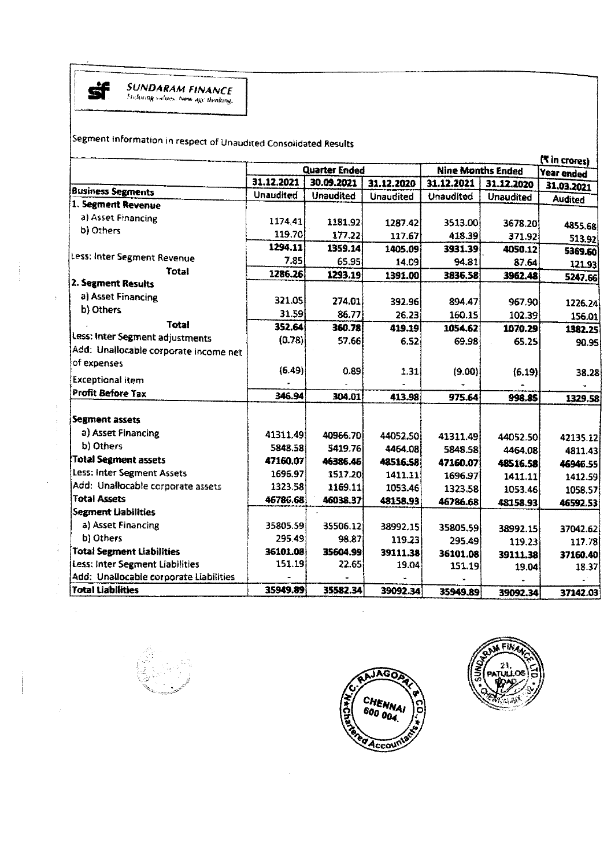

 $\frac{1}{2}$ 

 $\bar{1}$ 

 $\bar{\beta}$ 

Segment information in respect of Unaudited Consolidated Results

|                                        |                      |                  |                  |                          |                  | ( <sup>₹</sup> in crores) |
|----------------------------------------|----------------------|------------------|------------------|--------------------------|------------------|---------------------------|
|                                        | <b>Quarter Ended</b> |                  |                  | <b>Nine Months Ended</b> | Year ended       |                           |
| <b>Business Segments</b>               | 31.12.2021           | 30.09.2021       | 31.12.2020       | 31.12.2021               | 31.12.2020       | 31.03.2021                |
| 1. Segment Revenue                     | <b>Unaudited</b>     | <b>Unaudited</b> | <b>Unaudited</b> | <b>Unaudited</b>         | <b>Unaudited</b> | <b>Audited</b>            |
|                                        |                      |                  |                  |                          |                  |                           |
| a) Asset Financing                     | 1174.41              | 1181.92          | 1287.42          | 3513.00                  | 3678.20          | 4855.68                   |
| b) Others                              | 119.70               | 177.22           | 117.67           | 418.39                   | 371.92           | 513.92                    |
|                                        | 1294.11              | 1359.14          | 1405.09          | 3931.39                  | 4050.12          | 5369.60                   |
| Less: Inter Segment Revenue            | 7.85                 | 65.95            | 14.09            | 94.81                    | 87.64            | 121.93                    |
| <b>Total</b>                           | 1286.26              | 1293.19          | 1391.00          | 3836.58                  | 3962.48          | 5247.66                   |
| 2. Segment Results                     |                      |                  |                  |                          |                  |                           |
| a) Asset Financing                     | 321.05               | 274.01           | 392.96           | 894.47                   | 967.90           | 1226.24                   |
| b) Others                              | 31.59                | 86.77            | 26.23            | 160.15                   | 102.39           | 156.01                    |
| <b>Total</b>                           | 352.64               | 360.78           | 419.19           | 1054.62                  | 1070.29          | 1382.25                   |
| Less: Inter Segment adjustments        | (0.78)               | 57.66            | 6.52             | 69.98                    | 65.25            | 90.95                     |
| Add: Unallocable corporate income net  |                      |                  |                  |                          |                  |                           |
| of expenses                            |                      |                  |                  |                          |                  |                           |
| <b>Exceptional item</b>                | (6.49)               | 0.89             | 1.31             | (9.00)                   | (6.19)           | 38.28                     |
| Profit Before Tax                      | 346.94               |                  |                  |                          |                  |                           |
|                                        |                      | 304.01           | 413.98           | 975.64                   | 998.85           | 1329.58                   |
| <b>Segment assets</b>                  |                      |                  |                  |                          |                  |                           |
| a) Asset Financing                     | 41311.49             | 40966.70         | 44052.50         | 41311.49                 | 44052.50         | 42135.12                  |
| b) Others                              | 5848.58              | 5419.76          | 4464.08          | 5848.58                  | 4464.08          | 4811.43                   |
| <b>Total Segment assets</b>            | 47160.07             | 46386.46         | 48516.58         | 47160,07                 | 48516.58         | 46946.55                  |
| Less: Inter Segment Assets             | 1696.97              | 1517.20          | 1411.11          | 1696.97                  | 1411.11          | 1412.59                   |
| Add: Unallocable corporate assets      | 1323.58              | 1169.11          | 1053.46          | 1323.58                  | 1053.46          | 1058.57                   |
| <b>Total Assets</b>                    | 46786.68             | 46038.37         | 48158.93         | 46786.68                 | 48158.93         | 46592.53                  |
| <b>Segment Liabilities</b>             |                      |                  |                  |                          |                  |                           |
| a) Asset Financing                     | 35805.59             | 35506.12         | 38992.15         | 35805.59                 | 38992.15         | 37042.62                  |
| b) Others                              | 295 49               | 98.87            | 119.23           | 295.49                   | 119.23           | 117.78                    |
| <b>Total Segment Liabilities</b>       | 36101.08             | 35604.99         | 39111.38         | 36101.08                 | 39111.38         | 37160.40                  |
| Less: Inter Segment Liabilities        | 151.19               | 22.65            | 19.04            | 151.19                   | 19.04            | 18.37                     |
| Add: Unallocable corporate Liabilities |                      |                  |                  |                          |                  |                           |
| <b>Total Liabilities</b>               | 35949.89             | 35582.34         | 39092.34         | 35949.89                 | 39092.34         | 37142.03                  |



 $\sim$ 

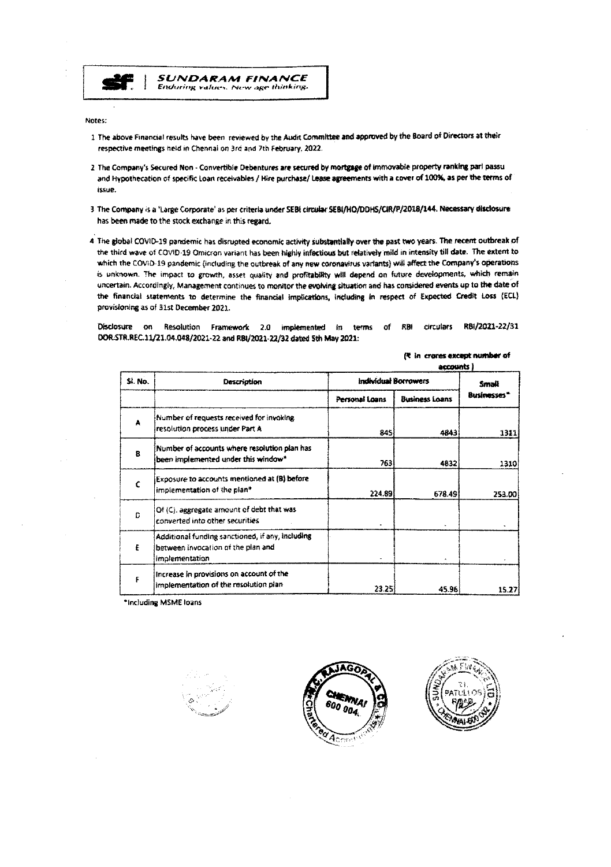

**SUNDARAM FINANCE** Enduring values. New age thinking.

Notes:

- 1 The above Financial results have been reviewed by the Audit Committee and approved by the Board of Directors at their respective meetings held in Chennai on 3rd and 7th February, 2022.
- 2 The Company's Secured Non Convertible Debentures are secured by mortgage of immovable property ranking parl passu and Hypothecation of specific Loan receivables / Hire purchase/ Lease agreements with a cover of 100%, as per the terms of issue.
- 3 The Company is a 'Large Corporate' as per criteria under SEBI circular SEBI/HO/DDHS/CIR/P/2018/144. Necessary disclosure has been made to the stock exchange in this regard.
- 4 The global COVID-19 pandemic has disrupted economic activity substantially over the past two years. The recent outbreak of the third wave of COVID-19 Omicron variant has been highly infectious but relatively mild in intensity till date. The extent to which the COVID-19 pandemic (including the outbreak of any new coronavirus variants) will affect the Company's operations is unknown. The impact to growth, asset quality and profitability will depend on future developments, which remain uncertain. Accordingly, Management continues to monitor the evolving situation and has considered events up to the date of the financial statements to determine the financial implications, including in respect of Expected Credit Loss (ECL) provisioning as of 31st December 2021.

Disclosure on Resolution Framework 2.0 implemented in terms of RBI circulars RBI/2021-22/31 DOR:STR.REC.11/21.04.048/2021-22 and RBI/2021-22/32 dated 5th May 2021:

|              |                                                                                                          | accounts                    |                       |                   |
|--------------|----------------------------------------------------------------------------------------------------------|-----------------------------|-----------------------|-------------------|
| SI. No.      | Description                                                                                              | <b>Individual Borrowers</b> | Small                 |                   |
|              |                                                                                                          | Personal Loans              | <b>Business Loans</b> | <b>Businesses</b> |
| A            | Number of requests received for invoking<br>resolution process under Part A                              | 845                         | 4843                  | 1311              |
| $\mathbf{B}$ | Number of accounts where resolution plan has<br>been implemented under this window*                      | 763                         | 4832                  | 1310              |
|              | Exposure to accounts mentioned at (B) before<br>implementation of the plan*                              | 224.891                     | 678.49                | 253.00            |
| Ð            | Of (C), aggregate amount of debt that was<br>converted into other securities                             |                             |                       |                   |
| £            | Additional funding sanctioned, if any, including<br>between invocation of the plan and<br>implementation |                             |                       |                   |
| £            | Increase in provisions on account of the<br>implementation of the resolution plan-                       | 23.25                       | 45.96                 | 15.27             |

(<sup>\*</sup> in crores except number of

\*Including MSME loans





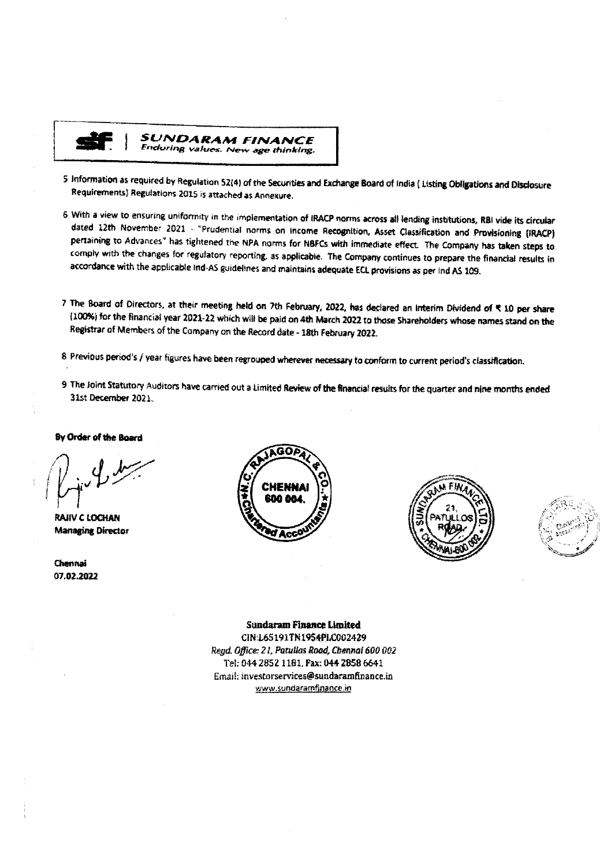

SUNDARAM FINANCE Enduring values. New age thinking.

- 5 Information as required by Regulation 52(4) of the Securities and Exchange Board of India (Listing Obligations and Disclosure Requirements) Regulations 2015 is attached as Annexure.
- 6 With a view to ensuring uniformity in the implementation of IRACP norms across all lending institutions, RBI vide its circular dated 12th November 2021 - "Prudential norms on income Recognition, Asset Classification and Provisioning (IRACP) pertaining to Advances" has tightened the NPA norms for NBFCs with immediate effect. The Company has taken steps to comply with the changes for regulatory reporting, as applicable. The Company continues to prepare the financial results in accordance with the applicable Ind-AS guidelines and maintains adequate ECL provisions as per Ind AS 109.
- 7 The Board of Directors, at their meeting held on 7th February, 2022, has declared an Interim Dividend of ₹ 10 per share (100%) for the financial year 2021-22 which will be paid on 4th March 2022 to those Shareholders whose names stand on the Registrar of Members of the Company on the Record date - 18th February 2022.
- 8 Previous period's / year figures have been regrouped wherever necessary to conform to current period's classification.
- 9 The Joint Statutory Auditors have carried out a Limited Review of the financial results for the quarter and nine months ended 31st December 2021.

#### By Order of the Board

**RAJIV C LOCHAN Managing Director** 

Chennai 07.02.2022







**Sundaram Finance Limited** CIN:L65191TN1954PLC002429 Regd. Office: 21, Patullos Road, Chennal 600 002 Tel: 044 2852 1181, Pax: 044 2858 6641 Email: investorservices@sundaramfinance.in

www.sundaramfinance.in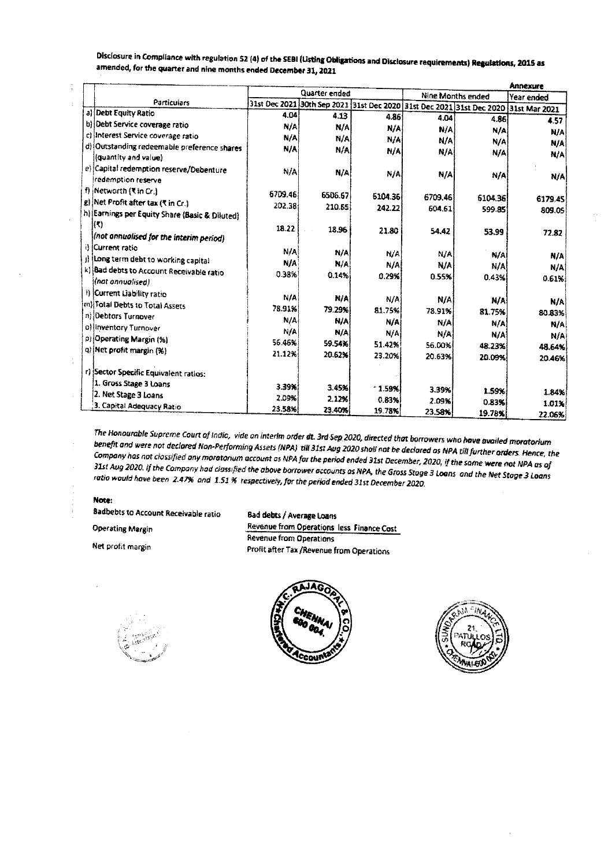|                                                                                                   |                                                                                                      |            |            |                   |         | Annexure   |  |
|---------------------------------------------------------------------------------------------------|------------------------------------------------------------------------------------------------------|------------|------------|-------------------|---------|------------|--|
| Particulars                                                                                       | Quarter ended<br>31st Dec 2021 30th Sep 2021 31st Dec 2020 31st Dec 2021 31st Dec 2020 31st Mar 2021 |            |            | Nine Months ended |         | Year ended |  |
| a) Debt Equity Ratio                                                                              |                                                                                                      |            |            |                   |         |            |  |
| b) Debt Service coverage ratio                                                                    | 4.04                                                                                                 | 4.13       | 4.86       | 4.04              | 4.86    | 4.57       |  |
| c) Interest Service coverage ratio                                                                | N/A                                                                                                  | N/A        | N/A        | N/A               | N/A     | <b>N/A</b> |  |
|                                                                                                   | N/A                                                                                                  | N/A        | N/A        | N/A               | N/A     | N/A        |  |
| d) Outstanding redeemable preference shares<br>(quantity and value)                               | N/A                                                                                                  | N/A        | N/A        | N/A               | N/A     | N/A        |  |
| e) Capital redemption reserve/Debenture<br>redemption reserve                                     | N/A                                                                                                  | N/A        | N/A        | N/A               | N/A     | N/A        |  |
| f) Networth (₹ in Cr.)                                                                            | 6709.46                                                                                              | 6506.67    | 6104.36    | 6709.46           | 6104.36 | 6179.45    |  |
| g) Net Profit after tax ("t in Cr.)                                                               | 202.38                                                                                               | 210.65     | 242.22     | 604.61            | 599.85  | 809.05     |  |
| h) Earnings per Equity Share (Basic & Diluted)<br> {₹}<br>(not annualised for the interim period) | 18.22                                                                                                | 18.96      | 21.80      | 54.42             | 53.99   | 72.82      |  |
| il Current ratio                                                                                  | N/A                                                                                                  | N/A        | <b>N/A</b> | N/A               | N/A     | N/A        |  |
| j) long term debt to working capital                                                              | N/A                                                                                                  | N/A        | N/A        | N/A               | N/A     | N/A        |  |
| k) Bad debts to Account Receivable ratio<br>(nat annualised)                                      | 0.38%                                                                                                | 0.14%      | 0.29%      | 0.55%             | 043%    | 0.61%      |  |
| I) Current Liability ratio<br>m) Total Debts to Total Assets                                      | N/A                                                                                                  | N/A        | NIA        | N/A               | N/A     | N/A        |  |
| n) Oebtors Turnover                                                                               | 78.91%                                                                                               | 79.29%     | 81.75%     | 78.91%            | 81.75%  | 80.83%     |  |
|                                                                                                   | N/A                                                                                                  | <b>N/A</b> | N/A        | N/A               | N/A     | N/A        |  |
| o) inventory Turnover                                                                             | NIA                                                                                                  | N/A        | N/A        | N/A               | N/A     | N/A        |  |
| p) Operating Margin (%)                                                                           | 56.46%                                                                                               | 59.54%     | 51.42%     | 56.00%            | 48.23%  | 48.64%     |  |
| q) Net profit margin (%)                                                                          | 21.12%                                                                                               | 20.62%     | 23.20%     | 20.63%            | 20.09%  | 20.46%     |  |
| r) Sector Specific Equivalent ratios:                                                             |                                                                                                      |            |            |                   |         |            |  |
| 1. Gross Stage 3 Loans                                                                            | 3.39%                                                                                                | 345%       | $*1.59%$   | 3.39%             | 1.59%   | 1.84%      |  |
| 2. Net Stage 3 Loans                                                                              | 2.09%                                                                                                | 2 1 2 %    | 0.83%      | 2.09%             | 0.83%   | 1.01%      |  |
| 3. Capital Adequacy Ratio                                                                         | 23.58%                                                                                               | 23.40%     | 19.78%     | 23.58%            | 19.78%  | 22.06%     |  |

Disclosure in Compliance with regulation 52 (4) of the SEBI (Listing Obligations and Disclosure requirements) Regulations, 2015 as amended, for the quarter and nine months ended December 31, 2021

The Honourable Supreme Court of India, vide an interim order dt. 3rd Sep 2020, directed that borrowers who have availed moratorium benefit and were not declared Non-Performing Assets (NPA) till 31st Aug 2020 shall not be declared as NPA till further orders. Hence, the Company has not clossified any moratorium account as NPA for the period ended 31st December, 2020, if the same were not NPA as of 31st Aug 2020. If the Company had classified the above borrower accounts as NPA, the Gross Stage 3 Loans and the Net Stage 3 Loans ratio would have been 2.47% and 1.51% respectively, for the period ended 31st December 2020.

#### Note:

**Badbebts to Account Receivable ratio** 

**Operating Margin** 

Net profit margin

Bad debts / Average Loans

**Revenue from Operations less Finance Cost Revenue from Operations** Profit after Tax /Revenue from Operations





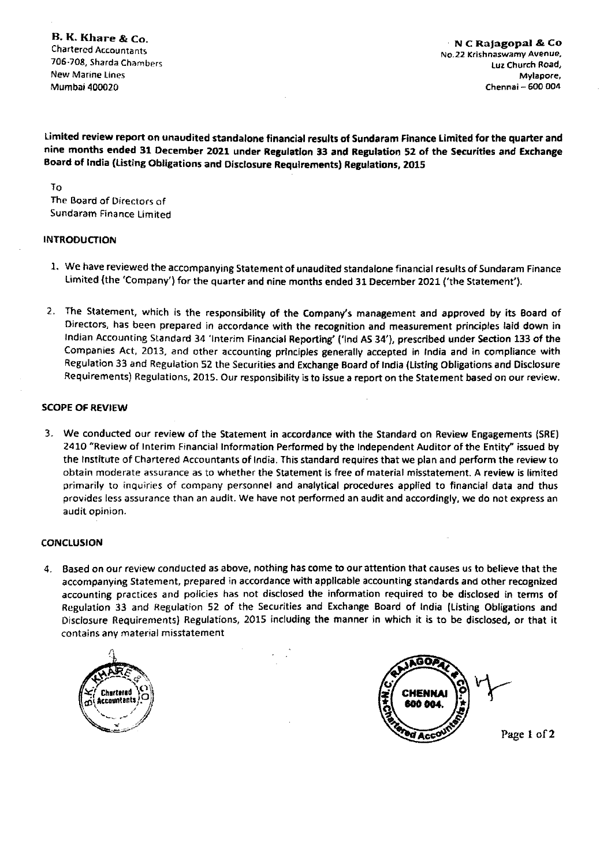8. K. Khare & Co. CharteredAccountants 706-708, Sharda Chambers New Marine Lines Mumbai 400020

N C Ra|agopal & Co No.22 Krishnaswamy Avenue, lijz Church Road, Mylapore, Chennai - 600 004

Limited review report on unaudited standalone financial results of Sundaram Finance Limited for the quarter and nine months ended 31 December 2021 under Regulation 33 and Regulation 52 of the Securities and Exchange Board Of India (Listing Obligations and Disclosure Requlrements) Regulations, 2015

TO

The Board of Directors of Sundaram Finance limited

# INTRODUCTION

- i. We have reviewed the accompanying Statement of unaudited standalone financial results of Sundaram Finance limited (the `Company') for the quarter and nine months ended 31 December 2021 ('the Statement').
- 2. The Statement, which is the responsibility of the Company's management and approved by its Board of Directors, has been prepared in accordance with the recognition and measurement principles laid down in Indian Accounting Standard 34 `lnterim Financial Reporting' (`lnd AS 34'), prescribed under Section 133 Of the Companies Act, 2013, and other accounting principles generally accepted in India and in compliance with Regulation 33 and Regulation 52 the Securities and Exchange Board of India (Listing Obligations and Disclosure Requirements) Regulations, 2015. Our responsibility is to issue a report on the Statement based on our review.

# SCOPE OF REVIEW

3. We conducted our review of the Statement in accordance with the Standard on Review Engagements (SRE} 2410 "Review of Interim Financial Information Performed by the Independent Auditor of the Entity" issued by the Institute of Chartered Accountants of India. This standard requires that we plan and perform the review to obtain moderate assurance as to whether the Statement is free of material misstatement. A review is limited primarily to inquiries of company personnel and analytical procedures applied to financial data and thus provides less assurance than an audit. We have not performed an audit and accordingly, we do not express an audit opinion.

# CONCLUSION

4. Based on our review conducted as above, nothing has come to our attention that causes us to believe that the accompanying Statement, prepared in accordance with applicable accounting standards and other recognized accounting practices and policies has not disclosed the information required to be disclosed in terms of Regulation 33 and Regulation 52 of the Securities and Exchange Board of India (listing obligations and Disclosure Requirements) Regulations, 2015 including the manner in which it is to be disclosed, or that it contains any material misstatement





Page I of 2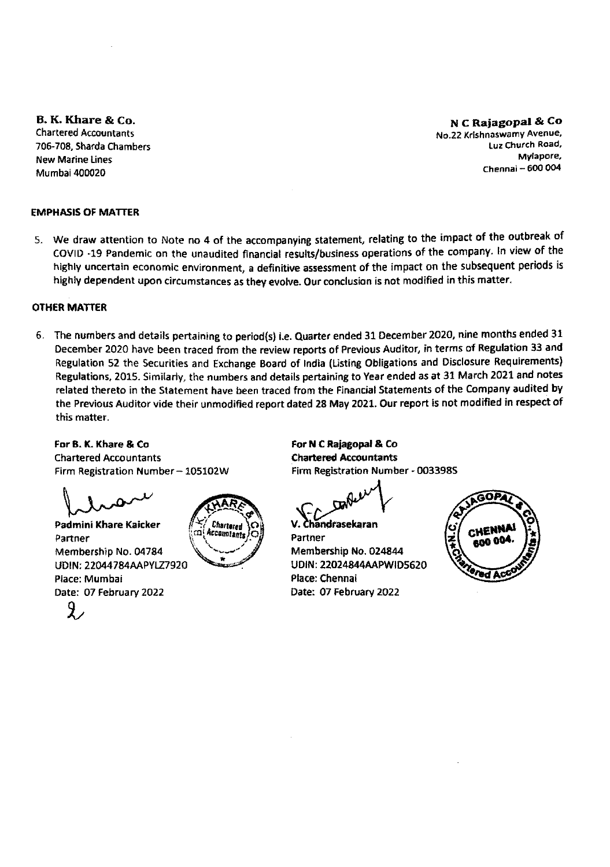8. K. Khare & Co. **Chartered Accountants** ?06-7o8, Shards Chambers New Marine Lines Mumbai 400020

N C Rajagopal & Co No.22 Krishnaswamy Avenue, luz Church Road, Mylapore, Chennai $-600004$ 

# **EMPHASIS OF MATTER**

5. We draw attention to Note no 4 of the accompanying statement, relating to the impact of the outbreak of COVID -19 Pandemic on the unaudited financial results/business operations of the company. ln view 0f the highly uncertain economic environment, a definitive assessment of the impact on the subsequent periods is highly dependent upon circumstances as they evolve. Our conclusion is not modified in this matter.

# **OTHER MATTER**

6. The numbers and details pertaining to period(s) i.e. Quarter ended 31 December 2020, nine months ended 31 December 2020 have been traced from the review reports of Previous Auditor, jn terms of Regulation 33 and Regulation 52 the Securities and Exchange Board of India (Listing obligations and Disclosure Requlrements} Regulations, 2015. Similarly, the numbers and details pertaining to Year ended as at 31 March 2021 and notes related thereto in the Statement have been traced from the Financial Statements of the Company audited by the Previous Auditor vide their unmodified report dated 28 May 2021. Our report is not modified in respect of this matter.

For B. K. Khare & Co. **Chartered Accountants** Firm Registration Number ~ 105102W

 $\int_{0}^{\pi}$ 

Padmini Khare Kaicker Partner Membership No. 04784 UDIN: 22044784AAPYLZ7920 Place: Mumbaj Date: 07 february 2022 ice: Mu<br>te: 07<br><mark>X</mark>



For N C Rajagopal & Co **Chartered Accountants** Firm Registration Number ~ 003398S

handrasekaran.

Partner Membership No. 024844 UDIN: 22024844AAPWID5620 Place: Chennai Date: 07 February 2022

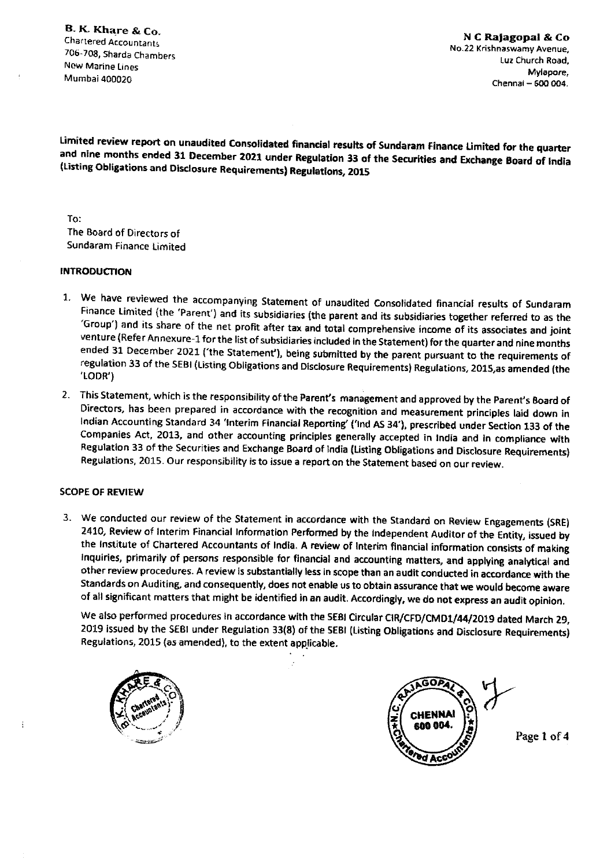B. K. Khare & Co. Chartered Accountants 706-708, Shards Chambers New Marine Lines Mumbai 400020

Limited review report on unaudited Consolidated financial results Of Sundaram Finance Limited for the quarter and nine months ended 31 December 2021 under Regulation 33 of the Securities and Exchange Board Of India (Listing Obligations and Diselesure Requirements) Regulations, 2015

To: The Board of Directors of Sundaram Finance Limited

#### **INTRODUCTION**

- 1. We have reviewed the accompanying Statement of unaudited Consolidated financial results of Sundaram Finance Limited (the 'Parent`) and its subsidiaries (the parent and its subsidiaries together referred to as the "Group") and its share of the net profit after the substanties income of the subsidiaries together referred to as the 'Group') and its share of the net profit after tax and total comprehensive income of its associates and joint<br>venture (Refer Annexure-1 for the list of subsidiaries included in the Statement) for the quarter and nine month ended 31 December 2021 ('the Statement'), being submitted by the parent pursuant to the requirements of regulation 33 of the SEBI (Listing Obligations and Disclosure Requirements) Regulations, 2015, as amended (the<br>'LODR')
- 2. This Statement, which is the responsibility Of the Parent's management and approved by the Parent's Board of Directors, has been prepared in accordance with the recognition and measurement principles laid down jn Indian Accounting Standard 34 'Interim Financial Reporting' ('Ind AS 34'), prescribed under Section 133 of the Companies Act, 2013, and other accounting principles generally accepted in India and in compliance with Regulation 33 of the Securities and Exchange Board of India (Listing Obligations and Disclosure Requirements) Regulations, 2015. Our responsibility is to issue a report on the Statement based on our review.

## **SCOPE OF REVIEW**

3. We conducted our review of the Statement in accordance with the Standard on Review Engagements (SRE) 2410, Review of Interim Financial Information Performed by the Independent Auditor of the Entity, issued by the Institute of Chartered Accountants of India. A review of Interim financial information consists of making Inquiries, primarily of persons responsible for financial and accounting matters, and applying analytical and other review procedures. A review is substantially less in scope than an audit conducted in accordance with the Standards on Auditing, and consequently, does not enable us to obtain assurance that we would become aware of all significant matters that might be identified in an audit. Accordingly, we do not express an audit opinion.

We also performed procedures in accordance with the SEBI Circular CIR/CFD/CMD1/44/2019 dated March 29, 2019 issued by the SEBI under Regulation 33(8) of the SEBI (Listing Obligations and Disclosure Requirements) Regulations, 2015 (as amended), to the extent applicable.





Page 1 of 4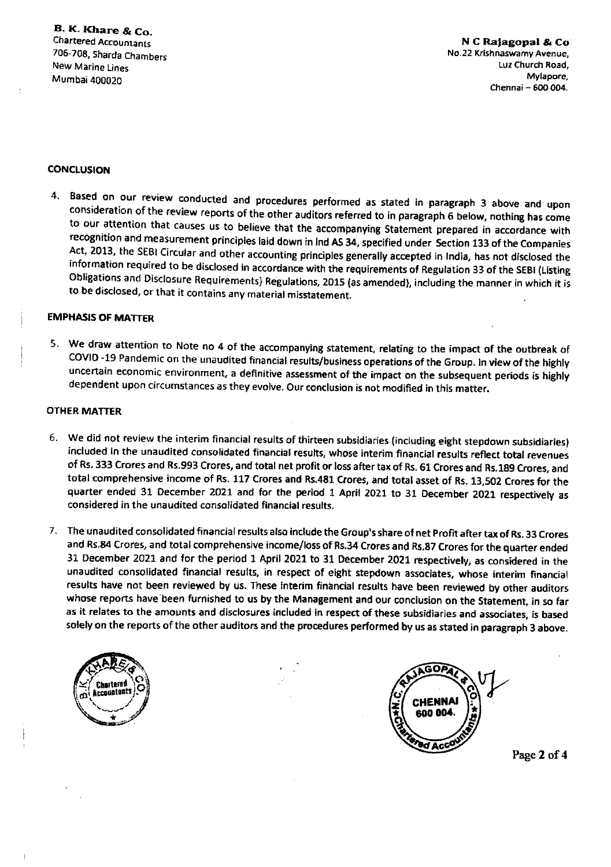## **CONCLUSION**

4. Based on our review conducted and procedures performed as stated in paragraph 3 above and upon Consideration of the review reports of the other auditors referred to in paragraph 6 below, nothing has come to our attention that causes us to believe that the accompanying Statement prepared in accordance with recognition and measurement principles laid down in lnd AS 34, specified under Section 133 Of the Companies Act, 2013, the SEBI Circular and other accounting principles generally accepted in India, has not disclosed the information required to be disclosed in accordance with the requirements of Regulation 33 of the SEBI (Listing Obligations and Disclosure Requirements} Regulations, 2ol5 (as amended), including the manner in which it is to be disclosed, or that it contains any material misstatement.

#### **EMPHASIS OF MATTER**

5. We draw attention to Note no 4 of the accompanying statement, relating to the impact of the outbreak of COVID -19 Pandemic on the unaudited financial results/business operations of the Group. In view of the highly uncertain economic environment, a definitive assessment of the impact on the subsequent periods is highly dependent upon circumstances as they evolve. Our conclusion is not modified in this matter.

# OTHER MATTER

- 6. We did not review the interim financial results of thirteen subsidiaries (including eight stepdown subsidiaries) included in the unaudited consolidated financial results, whose interim financial results reflect total revenues of Rs. 333 Crores and Rs.993 Crores, and total net profit or loss after tax Of Rs. 61 Crones and Rs.189 Crores, and total comprehensive income of Rs. 117 Crores and Rs.481 Crores, and total asset of Rs. 13,502 Crones for the quarter ended 31 December 2021 and for the period 1 April 2021 to 31 December 2021 respectively as considered in the unaudited consolidated financial results.
- 7. The unaudited consolidated financial results also include the Group's share of net profit after tax of Rs. 33 Crores and Rs.84 Crores, and total comprehensive income/loss of Rs.34 Crores and Rs.87 Crores for the quarter ended 31 December 2021 and for the period 1 April 2021 to 31 December 2021 respectively, as considered in the unaudited consolidated financial results, in respect of eight stepdown associates, whose interim financial results have not been reviewed by us. These interim financial results have been reviewed by other auditors whose reports have been furnished to us by the Management and our conclusion on the Statement, in so far as it relates to the amounts and disclosures included in respect of these subsidiaries and associates, is based solely on the reports of the other auditors and the procedures performed by us as stated in paragraph 3 above.





Page 2 of 4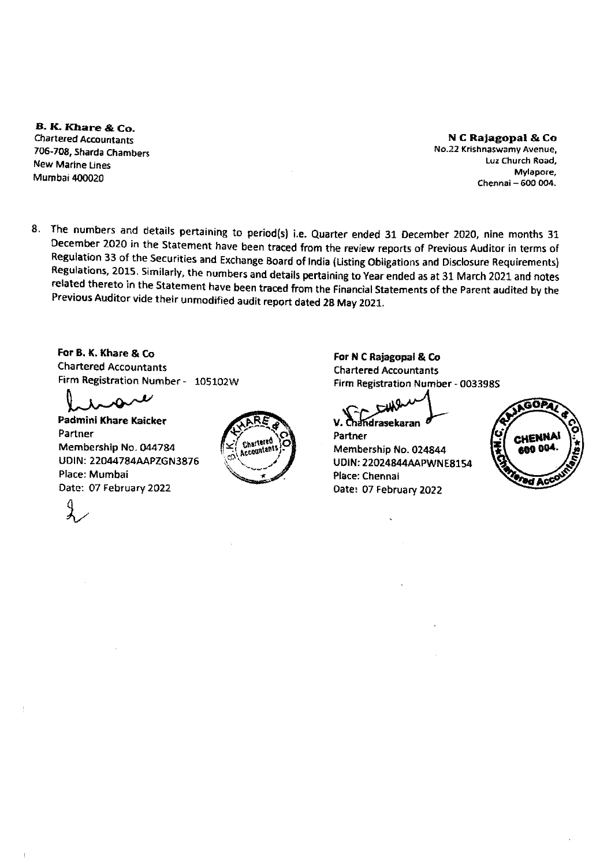B. K. Khare & Co. **Chartered Accountants** 706-708, Sharda Chambers **New Marine Lines** Mumbai 400020

N C Rajagopal & Co No.22 Krishnaswamy Avenue, Luz Church Road, Mylapore. Chennai - 600 004.

8. The numbers and details pertaining to period(s) i.e. Quarter ended 31 December 2020, nine months 31 December 2020 in the Statement have been traced from the review reports of Previous Auditor in terms of Regulation 33 of the Securities and Exchange Board of India (Listing Obligations and Disclosure Requirements) Regulations, 2015. Similarly, the numbers and details pertaining to Year ended as at 31 March 2021 and notes related thereto in the Statement have been traced from the Financial Statements of the Parent audited by the Previous Auditor vide their unmodified audit report dated 28 May 2021.

For B. K. Khare & Co. **Chartered Accountants** Firm Registration Number - 105102W

λÒ

Padmini Khare Kaicker Partner Membership No. 044784 UDIN: 22044784AAPZGN3876 Place: Mumbai Date: 07 February 2022



For N C Rajagopal & Co **Chartered Accountants** Firm Registration Number - 003398S

V. Chandrasekaran

Partner Membership No. 024844 **UDIN: 22024844AAPWNE8154** Place: Chennai Date: 07 February 2022